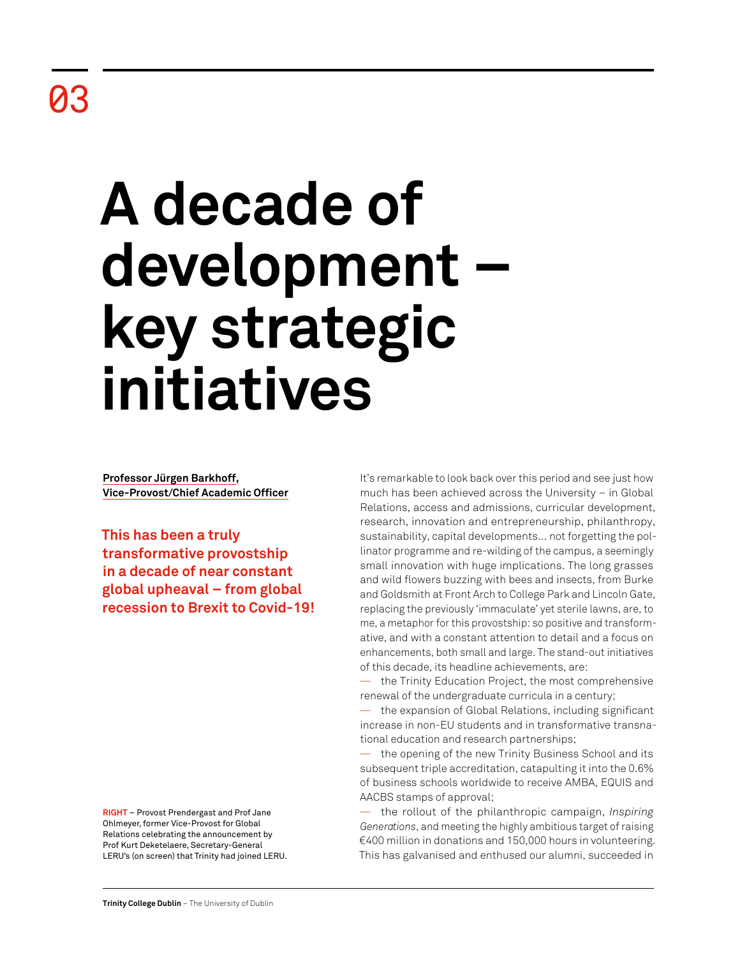# **A decade of development – key strategic initiatives**

**Professor Jürgen Barkhoff, Vice-Provost/Chief Academic Officer**

**This has been a truly transformative provostship in a decade of near constant global upheaval – from global recession to Brexit to Covid-19!** 

**RIGHT** – Provost Prendergast and Prof Jane Ohlmeyer, former Vice-Provost for Global Relations celebrating the announcement by Prof Kurt Deketelaere, Secretary-General LERU's (on screen) that Trinity had joined LERU. It's remarkable to look back over this period and see just how much has been achieved across the University – in Global Relations, access and admissions, curricular development, research, innovation and entrepreneurship, philanthropy, sustainability, capital developments… not forgetting the pollinator programme and re-wilding of the campus, a seemingly small innovation with huge implications. The long grasses and wild flowers buzzing with bees and insects, from Burke and Goldsmith at Front Arch to College Park and Lincoln Gate, replacing the previously 'immaculate' yet sterile lawns, are, to me, a metaphor for this provostship: so positive and transformative, and with a constant attention to detail and a focus on enhancements, both small and large. The stand-out initiatives of this decade, its headline achievements, are:

the Trinity Education Project, the most comprehensive renewal of the undergraduate curricula in a century;

the expansion of Global Relations, including significant increase in non-EU students and in transformative transnational education and research partnerships;

the opening of the new Trinity Business School and its subsequent triple accreditation, catapulting it into the 0.6% of business schools worldwide to receive AMBA, EQUIS and AACBS stamps of approval;

— the rollout of the philanthropic campaign, *Inspiring Generations*, and meeting the highly ambitious target of raising €400 million in donations and 150,000 hours in volunteering. This has galvanised and enthused our alumni, succeeded in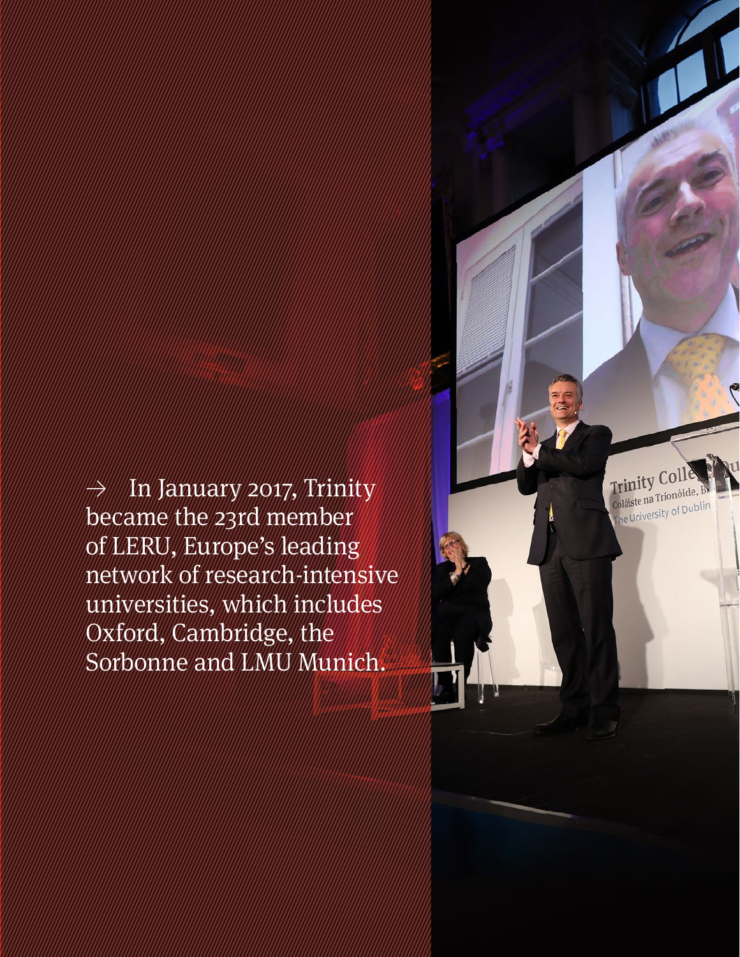$\rightarrow$  In January 2017, Trinity became the 23rd member of LERU, Europe's leading network of research-intensive universities, which includes Oxford, Cambridge, the Sorbonne and LMU Munich.

**Retrospective Review** 2011–21 14 | 15

Trinity Col Coláiste na Tríonóide, B Coláiste na Trionomus,<br>The University of Dublin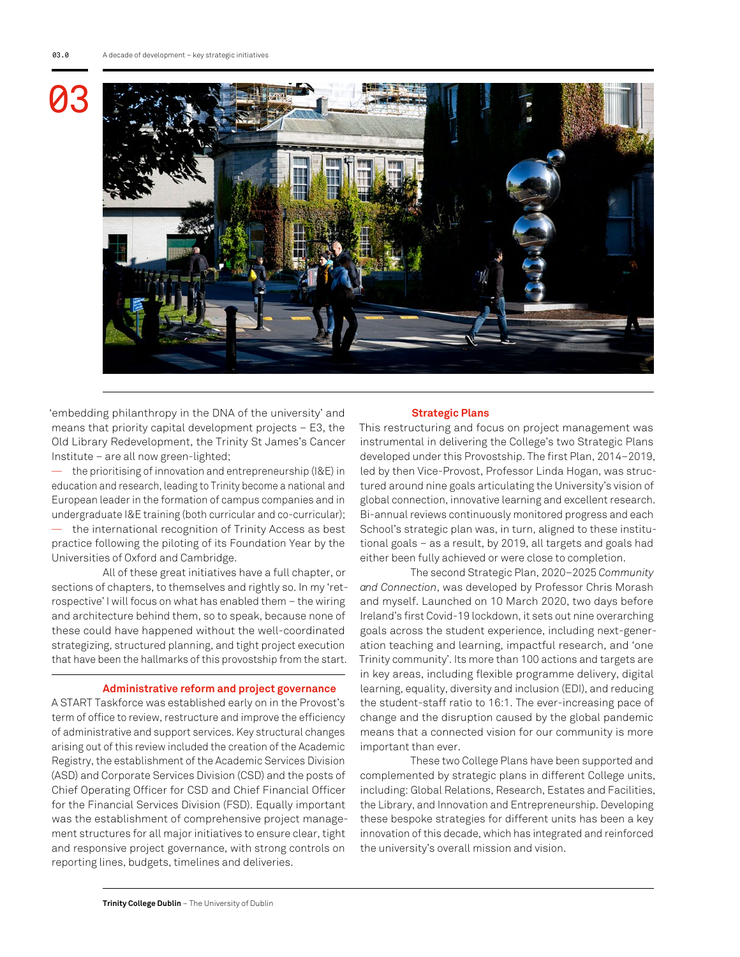

'embedding philanthropy in the DNA of the university' and means that priority capital development projects – E3, the Old Library Redevelopment, the Trinity St James's Cancer Institute – are all now green-lighted;

the prioritising of innovation and entrepreneurship (I&E) in education and research, leading to Trinity become a national and European leader in the formation of campus companies and in undergraduate I&E training (both curricular and co-curricular); — the international recognition of Trinity Access as best practice following the piloting of its Foundation Year by the Universities of Oxford and Cambridge.

All of these great initiatives have a full chapter, or sections of chapters, to themselves and rightly so. In my 'retrospective' I will focus on what has enabled them – the wiring and architecture behind them, so to speak, because none of these could have happened without the well-coordinated strategizing, structured planning, and tight project execution that have been the hallmarks of this provostship from the start.

### **Administrative reform and project governance**

A START Taskforce was established early on in the Provost's term of office to review, restructure and improve the efficiency of administrative and support services. Key structural changes arising out of this review included the creation of the Academic Registry, the establishment of the Academic Services Division (ASD) and Corporate Services Division (CSD) and the posts of Chief Operating Officer for CSD and Chief Financial Officer for the Financial Services Division (FSD). Equally important was the establishment of comprehensive project management structures for all major initiatives to ensure clear, tight and responsive project governance, with strong controls on reporting lines, budgets, timelines and deliveries.

### **Strategic Plans**

This restructuring and focus on project management was instrumental in delivering the College's two Strategic Plans developed under this Provostship. The first Plan, 2014–2019, led by then Vice-Provost, Professor Linda Hogan, was structured around nine goals articulating the University's vision of global connection, innovative learning and excellent research. Bi-annual reviews continuously monitored progress and each School's strategic plan was, in turn, aligned to these institutional goals – as a result, by 2019, all targets and goals had either been fully achieved or were close to completion.

The second Strategic Plan, 2020–2025 *Community and Connection*, was developed by Professor Chris Morash and myself. Launched on 10 March 2020, two days before Ireland's first Covid-19 lockdown, it sets out nine overarching goals across the student experience, including next-generation teaching and learning, impactful research, and 'one Trinity community'. Its more than 100 actions and targets are in key areas, including flexible programme delivery, digital learning, equality, diversity and inclusion (EDI), and reducing the student-staff ratio to 16:1. The ever-increasing pace of change and the disruption caused by the global pandemic means that a connected vision for our community is more important than ever.

These two College Plans have been supported and complemented by strategic plans in different College units, including: Global Relations, Research, Estates and Facilities, the Library, and Innovation and Entrepreneurship. Developing these bespoke strategies for different units has been a key innovation of this decade, which has integrated and reinforced the university's overall mission and vision.